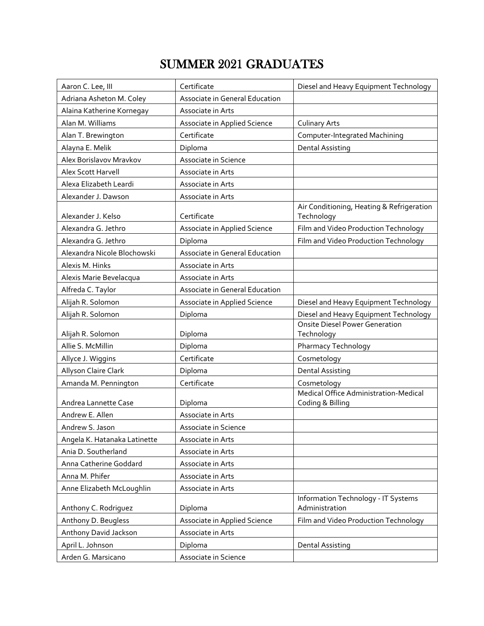## SUMMER 2021 GRADUATES

| Aaron C. Lee, III            | Certificate                    | Diesel and Heavy Equipment Technology                     |
|------------------------------|--------------------------------|-----------------------------------------------------------|
| Adriana Asheton M. Coley     | Associate in General Education |                                                           |
| Alaina Katherine Kornegay    | Associate in Arts              |                                                           |
| Alan M. Williams             | Associate in Applied Science   | <b>Culinary Arts</b>                                      |
| Alan T. Brewington           | Certificate                    | Computer-Integrated Machining                             |
| Alayna E. Melik              | Diploma                        | <b>Dental Assisting</b>                                   |
| Alex Borislavov Mravkov      | Associate in Science           |                                                           |
| <b>Alex Scott Harvell</b>    | Associate in Arts              |                                                           |
| Alexa Elizabeth Leardi       | Associate in Arts              |                                                           |
| Alexander J. Dawson          | Associate in Arts              |                                                           |
| Alexander J. Kelso           | Certificate                    | Air Conditioning, Heating & Refrigeration<br>Technology   |
| Alexandra G. Jethro          | Associate in Applied Science   | Film and Video Production Technology                      |
| Alexandra G. Jethro          | Diploma                        | Film and Video Production Technology                      |
| Alexandra Nicole Blochowski  | Associate in General Education |                                                           |
| Alexis M. Hinks              | Associate in Arts              |                                                           |
| Alexis Marie Bevelacqua      | Associate in Arts              |                                                           |
| Alfreda C. Taylor            | Associate in General Education |                                                           |
| Alijah R. Solomon            | Associate in Applied Science   | Diesel and Heavy Equipment Technology                     |
| Alijah R. Solomon            | Diploma                        | Diesel and Heavy Equipment Technology                     |
|                              |                                | <b>Onsite Diesel Power Generation</b>                     |
| Alijah R. Solomon            | Diploma                        | Technology                                                |
| Allie S. McMillin            | Diploma                        | Pharmacy Technology                                       |
| Allyce J. Wiggins            | Certificate                    | Cosmetology                                               |
| Allyson Claire Clark         | Diploma                        | <b>Dental Assisting</b>                                   |
| Amanda M. Pennington         | Certificate                    | Cosmetology                                               |
| Andrea Lannette Case         | Diploma                        | Medical Office Administration-Medical<br>Coding & Billing |
| Andrew E. Allen              | Associate in Arts              |                                                           |
| Andrew S. Jason              | Associate in Science           |                                                           |
| Angela K. Hatanaka Latinette | Associate in Arts              |                                                           |
| Ania D. Southerland          | Associate in Arts              |                                                           |
| Anna Catherine Goddard       | Associate in Arts              |                                                           |
| Anna M. Phifer               | Associate in Arts              |                                                           |
| Anne Elizabeth McLoughlin    | Associate in Arts              |                                                           |
| Anthony C. Rodriguez         | Diploma                        | Information Technology - IT Systems<br>Administration     |
| Anthony D. Beugless          | Associate in Applied Science   | Film and Video Production Technology                      |
| Anthony David Jackson        | Associate in Arts              |                                                           |
| April L. Johnson             | Diploma                        | <b>Dental Assisting</b>                                   |
| Arden G. Marsicano           | Associate in Science           |                                                           |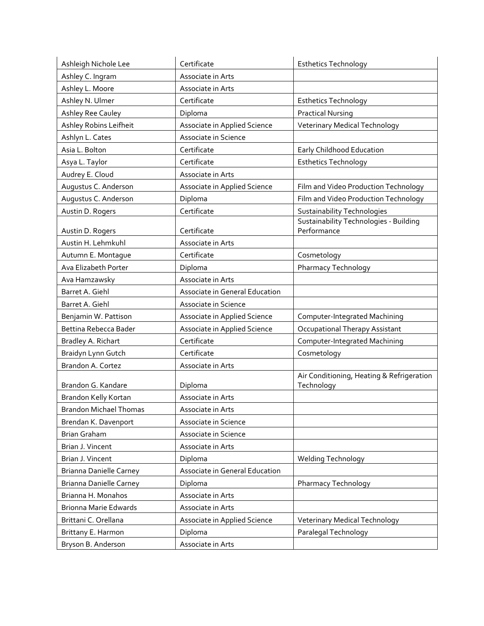| Ashleigh Nichole Lee           | Certificate                    | <b>Esthetics Technology</b>                                  |
|--------------------------------|--------------------------------|--------------------------------------------------------------|
| Ashley C. Ingram               | Associate in Arts              |                                                              |
| Ashley L. Moore                | Associate in Arts              |                                                              |
| Ashley N. Ulmer                | Certificate                    | <b>Esthetics Technology</b>                                  |
| Ashley Ree Cauley              | Diploma                        | <b>Practical Nursing</b>                                     |
| Ashley Robins Leifheit         | Associate in Applied Science   | <b>Veterinary Medical Technology</b>                         |
| Ashlyn L. Cates                | Associate in Science           |                                                              |
| Asia L. Bolton                 | Certificate                    | Early Childhood Education                                    |
| Asya L. Taylor                 | Certificate                    | <b>Esthetics Technology</b>                                  |
| Audrey E. Cloud                | Associate in Arts              |                                                              |
| Augustus C. Anderson           | Associate in Applied Science   | Film and Video Production Technology                         |
| Augustus C. Anderson           | Diploma                        | Film and Video Production Technology                         |
| Austin D. Rogers               | Certificate                    | <b>Sustainability Technologies</b>                           |
| Austin D. Rogers               | Certificate                    | <b>Sustainability Technologies - Building</b><br>Performance |
| Austin H. Lehmkuhl             | Associate in Arts              |                                                              |
| Autumn E. Montague             | Certificate                    | Cosmetology                                                  |
| Ava Elizabeth Porter           | Diploma                        | Pharmacy Technology                                          |
| Ava Hamzawsky                  | Associate in Arts              |                                                              |
| Barret A. Giehl                | Associate in General Education |                                                              |
| Barret A. Giehl                | Associate in Science           |                                                              |
| Benjamin W. Pattison           | Associate in Applied Science   | Computer-Integrated Machining                                |
| Bettina Rebecca Bader          | Associate in Applied Science   | Occupational Therapy Assistant                               |
| Bradley A. Richart             | Certificate                    | Computer-Integrated Machining                                |
| Braidyn Lynn Gutch             | Certificate                    | Cosmetology                                                  |
| Brandon A. Cortez              | Associate in Arts              |                                                              |
| Brandon G. Kandare             | Diploma                        | Air Conditioning, Heating & Refrigeration<br>Technology      |
| Brandon Kelly Kortan           | Associate in Arts              |                                                              |
| <b>Brandon Michael Thomas</b>  | Associate in Arts              |                                                              |
| Brendan K. Davenport           | Associate in Science           |                                                              |
| Brian Graham                   | Associate in Science           |                                                              |
| Brian J. Vincent               | Associate in Arts              |                                                              |
| Brian J. Vincent               | Diploma                        | Welding Technology                                           |
| Brianna Danielle Carney        | Associate in General Education |                                                              |
| <b>Brianna Danielle Carney</b> | Diploma                        | Pharmacy Technology                                          |
| Brianna H. Monahos             | Associate in Arts              |                                                              |
| <b>Brionna Marie Edwards</b>   | Associate in Arts              |                                                              |
| Brittani C. Orellana           | Associate in Applied Science   | <b>Veterinary Medical Technology</b>                         |
| Brittany E. Harmon             | Diploma                        | Paralegal Technology                                         |
| Bryson B. Anderson             | Associate in Arts              |                                                              |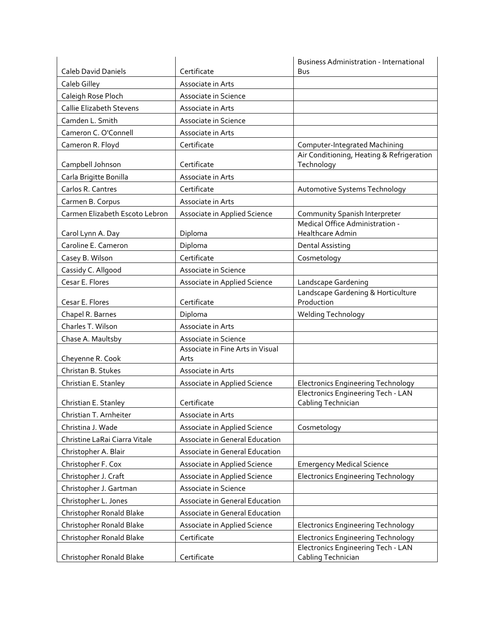|                                 |                                  | <b>Business Administration - International</b>           |
|---------------------------------|----------------------------------|----------------------------------------------------------|
| Caleb David Daniels             | Certificate                      | Bus                                                      |
| Caleb Gilley                    | Associate in Arts                |                                                          |
| Caleigh Rose Ploch              | Associate in Science             |                                                          |
| <b>Callie Elizabeth Stevens</b> | Associate in Arts                |                                                          |
| Camden L. Smith                 | Associate in Science             |                                                          |
| Cameron C. O'Connell            | Associate in Arts                |                                                          |
| Cameron R. Floyd                | Certificate                      | Computer-Integrated Machining                            |
| Campbell Johnson                | Certificate                      | Air Conditioning, Heating & Refrigeration<br>Technology  |
| Carla Brigitte Bonilla          | Associate in Arts                |                                                          |
| Carlos R. Cantres               | Certificate                      | Automotive Systems Technology                            |
| Carmen B. Corpus                | Associate in Arts                |                                                          |
| Carmen Elizabeth Escoto Lebron  | Associate in Applied Science     | Community Spanish Interpreter                            |
|                                 |                                  | Medical Office Administration -<br>Healthcare Admin      |
| Carol Lynn A. Day               | Diploma                          |                                                          |
| Caroline E. Cameron             | Diploma<br>Certificate           | <b>Dental Assisting</b>                                  |
| Casey B. Wilson                 |                                  | Cosmetology                                              |
| Cassidy C. Allgood              | Associate in Science             |                                                          |
| Cesar E. Flores                 | Associate in Applied Science     | Landscape Gardening                                      |
| Cesar E. Flores                 | Certificate                      | Landscape Gardening & Horticulture<br>Production         |
| Chapel R. Barnes                | Diploma                          | Welding Technology                                       |
| Charles T. Wilson               | Associate in Arts                |                                                          |
| Chase A. Maultsby               | Associate in Science             |                                                          |
|                                 | Associate in Fine Arts in Visual |                                                          |
| Cheyenne R. Cook                | Arts                             |                                                          |
| Christan B. Stukes              | Associate in Arts                |                                                          |
| Christian E. Stanley            | Associate in Applied Science     | <b>Electronics Engineering Technology</b>                |
| Christian E. Stanley            | Certificate                      | Electronics Engineering Tech - LAN<br>Cabling Technician |
| Christian T. Arnheiter          | Associate in Arts                |                                                          |
| Christina J. Wade               | Associate in Applied Science     | Cosmetology                                              |
| Christine LaRai Ciarra Vitale   | Associate in General Education   |                                                          |
| Christopher A. Blair            | Associate in General Education   |                                                          |
| Christopher F. Cox              | Associate in Applied Science     | <b>Emergency Medical Science</b>                         |
| Christopher J. Craft            | Associate in Applied Science     | <b>Electronics Engineering Technology</b>                |
| Christopher J. Gartman          | Associate in Science             |                                                          |
| Christopher L. Jones            | Associate in General Education   |                                                          |
| Christopher Ronald Blake        | Associate in General Education   |                                                          |
| Christopher Ronald Blake        | Associate in Applied Science     | <b>Electronics Engineering Technology</b>                |
| Christopher Ronald Blake        | Certificate                      | <b>Electronics Engineering Technology</b>                |
|                                 |                                  | Electronics Engineering Tech - LAN                       |
| Christopher Ronald Blake        | Certificate                      | Cabling Technician                                       |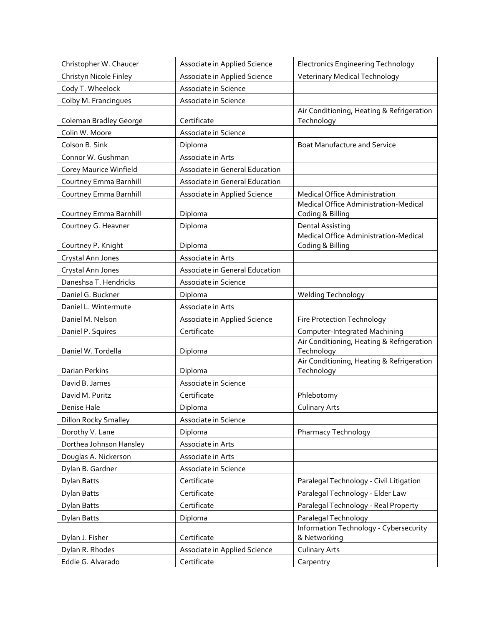| Christopher W. Chaucer      | Associate in Applied Science   | <b>Electronics Engineering Technology</b>                 |
|-----------------------------|--------------------------------|-----------------------------------------------------------|
| Christyn Nicole Finley      | Associate in Applied Science   | Veterinary Medical Technology                             |
| Cody T. Wheelock            | Associate in Science           |                                                           |
| Colby M. Francingues        | Associate in Science           |                                                           |
| Coleman Bradley George      | Certificate                    | Air Conditioning, Heating & Refrigeration<br>Technology   |
| Colin W. Moore              | Associate in Science           |                                                           |
| Colson B. Sink              | Diploma                        | <b>Boat Manufacture and Service</b>                       |
| Connor W. Gushman           | Associate in Arts              |                                                           |
| Corey Maurice Winfield      | Associate in General Education |                                                           |
| Courtney Emma Barnhill      | Associate in General Education |                                                           |
| Courtney Emma Barnhill      | Associate in Applied Science   | Medical Office Administration                             |
| Courtney Emma Barnhill      | Diploma                        | Medical Office Administration-Medical<br>Coding & Billing |
| Courtney G. Heavner         | Diploma                        | <b>Dental Assisting</b>                                   |
| Courtney P. Knight          | Diploma                        | Medical Office Administration-Medical<br>Coding & Billing |
| Crystal Ann Jones           | Associate in Arts              |                                                           |
| Crystal Ann Jones           | Associate in General Education |                                                           |
| Daneshsa T. Hendricks       | Associate in Science           |                                                           |
| Daniel G. Buckner           | Diploma                        | Welding Technology                                        |
| Daniel L. Wintermute        | Associate in Arts              |                                                           |
| Daniel M. Nelson            | Associate in Applied Science   | Fire Protection Technology                                |
|                             |                                |                                                           |
| Daniel P. Squires           | Certificate                    | Computer-Integrated Machining                             |
| Daniel W. Tordella          | Diploma                        | Air Conditioning, Heating & Refrigeration<br>Technology   |
| Darian Perkins              | Diploma                        | Air Conditioning, Heating & Refrigeration<br>Technology   |
| David B. James              | Associate in Science           |                                                           |
| David M. Puritz             | Certificate                    | Phlebotomy                                                |
| Denise Hale                 | Diploma                        | <b>Culinary Arts</b>                                      |
| <b>Dillon Rocky Smalley</b> | Associate in Science           |                                                           |
| Dorothy V. Lane             | Diploma                        | Pharmacy Technology                                       |
| Dorthea Johnson Hansley     | Associate in Arts              |                                                           |
| Douglas A. Nickerson        | Associate in Arts              |                                                           |
| Dylan B. Gardner            | Associate in Science           |                                                           |
| Dylan Batts                 | Certificate                    | Paralegal Technology - Civil Litigation                   |
| Dylan Batts                 | Certificate                    | Paralegal Technology - Elder Law                          |
| Dylan Batts                 | Certificate                    | Paralegal Technology - Real Property                      |
| Dylan Batts                 | Diploma                        | Paralegal Technology                                      |
| Dylan J. Fisher             | Certificate                    | Information Technology - Cybersecurity<br>& Networking    |
| Dylan R. Rhodes             | Associate in Applied Science   | <b>Culinary Arts</b>                                      |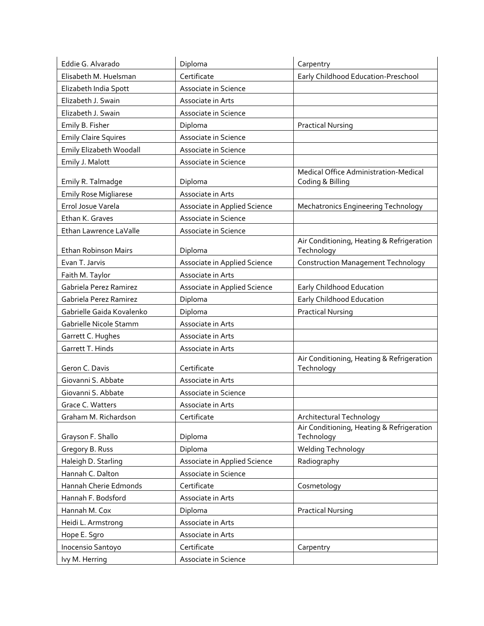| Eddie G. Alvarado            | Diploma                      | Carpentry                                                 |
|------------------------------|------------------------------|-----------------------------------------------------------|
| Elisabeth M. Huelsman        | Certificate                  | Early Childhood Education-Preschool                       |
| Elizabeth India Spott        | Associate in Science         |                                                           |
| Elizabeth J. Swain           | Associate in Arts            |                                                           |
| Elizabeth J. Swain           | Associate in Science         |                                                           |
| Emily B. Fisher              | Diploma                      | <b>Practical Nursing</b>                                  |
| <b>Emily Claire Squires</b>  | Associate in Science         |                                                           |
| Emily Elizabeth Woodall      | Associate in Science         |                                                           |
| Emily J. Malott              | Associate in Science         |                                                           |
| Emily R. Talmadge            | Diploma                      | Medical Office Administration-Medical<br>Coding & Billing |
| <b>Emily Rose Migliarese</b> | Associate in Arts            |                                                           |
| Errol Josue Varela           | Associate in Applied Science | <b>Mechatronics Engineering Technology</b>                |
| Ethan K. Graves              | Associate in Science         |                                                           |
| Ethan Lawrence LaValle       | Associate in Science         |                                                           |
| Ethan Robinson Mairs         | Diploma                      | Air Conditioning, Heating & Refrigeration<br>Technology   |
| Evan T. Jarvis               | Associate in Applied Science | <b>Construction Management Technology</b>                 |
| Faith M. Taylor              | Associate in Arts            |                                                           |
| Gabriela Perez Ramirez       | Associate in Applied Science | Early Childhood Education                                 |
| Gabriela Perez Ramirez       | Diploma                      | Early Childhood Education                                 |
| Gabrielle Gaida Kovalenko    | Diploma                      | <b>Practical Nursing</b>                                  |
| Gabrielle Nicole Stamm       | Associate in Arts            |                                                           |
| Garrett C. Hughes            | Associate in Arts            |                                                           |
| Garrett T. Hinds             | Associate in Arts            |                                                           |
| Geron C. Davis               | Certificate                  | Air Conditioning, Heating & Refrigeration<br>Technology   |
| Giovanni S. Abbate           | Associate in Arts            |                                                           |
| Giovanni S. Abbate           | Associate in Science         |                                                           |
| Grace C. Watters             | Associate in Arts            |                                                           |
| Graham M. Richardson         | Certificate                  | Architectural Technology                                  |
| Grayson F. Shallo            | Diploma                      | Air Conditioning, Heating & Refrigeration<br>Technology   |
| Gregory B. Russ              | Diploma                      | <b>Welding Technology</b>                                 |
| Haleigh D. Starling          | Associate in Applied Science | Radiography                                               |
| Hannah C. Dalton             | Associate in Science         |                                                           |
| Hannah Cherie Edmonds        | Certificate                  | Cosmetology                                               |
| Hannah F. Bodsford           | Associate in Arts            |                                                           |
| Hannah M. Cox                | Diploma                      | <b>Practical Nursing</b>                                  |
| Heidi L. Armstrong           | Associate in Arts            |                                                           |
| Hope E. Sgro                 | Associate in Arts            |                                                           |
| Inocensio Santoyo            | Certificate                  | Carpentry                                                 |
| Ivy M. Herring               | Associate in Science         |                                                           |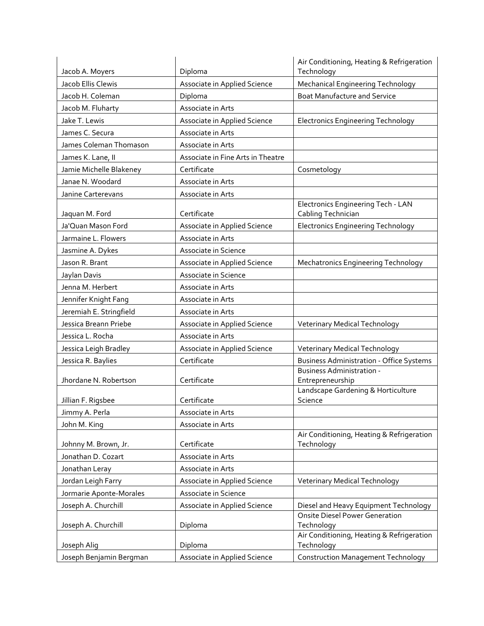|                                       | Diploma                           | Air Conditioning, Heating & Refrigeration                |
|---------------------------------------|-----------------------------------|----------------------------------------------------------|
| Jacob A. Moyers<br>Jacob Ellis Clewis |                                   | Technology                                               |
|                                       | Associate in Applied Science      | Mechanical Engineering Technology                        |
| Jacob H. Coleman                      | Diploma                           | <b>Boat Manufacture and Service</b>                      |
| Jacob M. Fluharty                     | Associate in Arts                 |                                                          |
| Jake T. Lewis                         | Associate in Applied Science      | <b>Electronics Engineering Technology</b>                |
| James C. Secura                       | Associate in Arts                 |                                                          |
| James Coleman Thomason                | Associate in Arts                 |                                                          |
| James K. Lane, II                     | Associate in Fine Arts in Theatre |                                                          |
| Jamie Michelle Blakeney               | Certificate                       | Cosmetology                                              |
| Janae N. Woodard                      | Associate in Arts                 |                                                          |
| Janine Carterevans                    | Associate in Arts                 |                                                          |
| Jaquan M. Ford                        | Certificate                       | Electronics Engineering Tech - LAN<br>Cabling Technician |
| Ja'Quan Mason Ford                    | Associate in Applied Science      | <b>Electronics Engineering Technology</b>                |
| Jarmaine L. Flowers                   | Associate in Arts                 |                                                          |
| Jasmine A. Dykes                      | Associate in Science              |                                                          |
| Jason R. Brant                        | Associate in Applied Science      | <b>Mechatronics Engineering Technology</b>               |
| Jaylan Davis                          | Associate in Science              |                                                          |
| Jenna M. Herbert                      | Associate in Arts                 |                                                          |
| Jennifer Knight Fang                  | Associate in Arts                 |                                                          |
| Jeremiah E. Stringfield               | Associate in Arts                 |                                                          |
| Jessica Breann Priebe                 | Associate in Applied Science      | Veterinary Medical Technology                            |
| Jessica L. Rocha                      | Associate in Arts                 |                                                          |
| Jessica Leigh Bradley                 | Associate in Applied Science      | <b>Veterinary Medical Technology</b>                     |
| Jessica R. Baylies                    | Certificate                       | <b>Business Administration - Office Systems</b>          |
| Jhordane N. Robertson                 | Certificate                       | <b>Business Administration -</b><br>Entrepreneurship     |
|                                       |                                   | Landscape Gardening & Horticulture                       |
| Jillian F. Rigsbee                    | Certificate                       | Science                                                  |
| Jimmy A. Perla                        | Associate in Arts                 |                                                          |
| John M. King                          | Associate in Arts                 | Air Conditioning, Heating & Refrigeration                |
| Johnny M. Brown, Jr.                  | Certificate                       | Technology                                               |
| Jonathan D. Cozart                    | Associate in Arts                 |                                                          |
| Jonathan Leray                        | Associate in Arts                 |                                                          |
| Jordan Leigh Farry                    | Associate in Applied Science      | Veterinary Medical Technology                            |
| Jormarie Aponte-Morales               | Associate in Science              |                                                          |
| Joseph A. Churchill                   | Associate in Applied Science      | Diesel and Heavy Equipment Technology                    |
|                                       |                                   | <b>Onsite Diesel Power Generation</b>                    |
| Joseph A. Churchill                   | Diploma                           | Technology<br>Air Conditioning, Heating & Refrigeration  |
| Joseph Alig                           | Diploma                           | Technology                                               |
| Joseph Benjamin Bergman               | Associate in Applied Science      | <b>Construction Management Technology</b>                |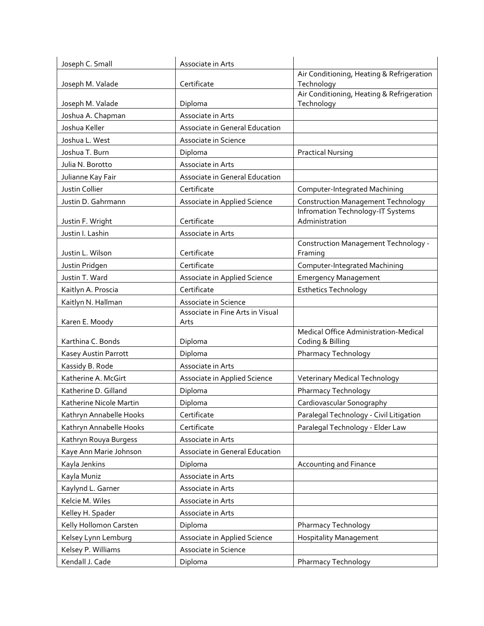| Joseph C. Small         | Associate in Arts                |                                                         |
|-------------------------|----------------------------------|---------------------------------------------------------|
|                         |                                  | Air Conditioning, Heating & Refrigeration               |
| Joseph M. Valade        | Certificate                      | Technology                                              |
|                         | Diploma                          | Air Conditioning, Heating & Refrigeration<br>Technology |
| Joseph M. Valade        | Associate in Arts                |                                                         |
| Joshua A. Chapman       |                                  |                                                         |
| Joshua Keller           | Associate in General Education   |                                                         |
| Joshua L. West          | Associate in Science             |                                                         |
| Joshua T. Burn          | Diploma                          | <b>Practical Nursing</b>                                |
| Julia N. Borotto        | Associate in Arts                |                                                         |
| Julianne Kay Fair       | Associate in General Education   |                                                         |
| Justin Collier          | Certificate                      | Computer-Integrated Machining                           |
| Justin D. Gahrmann      | Associate in Applied Science     | <b>Construction Management Technology</b>               |
|                         |                                  | Infromation Technology-IT Systems                       |
| Justin F. Wright        | Certificate                      | Administration                                          |
| Justin I. Lashin        | Associate in Arts                | Construction Management Technology -                    |
| Justin L. Wilson        | Certificate                      | Framing                                                 |
| Justin Pridgen          | Certificate                      | Computer-Integrated Machining                           |
| Justin T. Ward          | Associate in Applied Science     | <b>Emergency Management</b>                             |
| Kaitlyn A. Proscia      | Certificate                      | <b>Esthetics Technology</b>                             |
| Kaitlyn N. Hallman      | Associate in Science             |                                                         |
|                         | Associate in Fine Arts in Visual |                                                         |
| Karen E. Moody          | Arts                             |                                                         |
|                         |                                  | Medical Office Administration-Medical                   |
| Karthina C. Bonds       | Diploma                          | Coding & Billing                                        |
| Kasey Austin Parrott    | Diploma                          | Pharmacy Technology                                     |
| Kassidy B. Rode         | Associate in Arts                |                                                         |
| Katherine A. McGirt     | Associate in Applied Science     | <b>Veterinary Medical Technology</b>                    |
| Katherine D. Gilland    | Diploma                          | Pharmacy Technology                                     |
| Katherine Nicole Martin | Diploma                          | Cardiovascular Sonography                               |
| Kathryn Annabelle Hooks | Certificate                      | Paralegal Technology - Civil Litigation                 |
| Kathryn Annabelle Hooks | Certificate                      | Paralegal Technology - Elder Law                        |
| Kathryn Rouya Burgess   | Associate in Arts                |                                                         |
| Kaye Ann Marie Johnson  | Associate in General Education   |                                                         |
| Kayla Jenkins           | Diploma                          | Accounting and Finance                                  |
| Kayla Muniz             | Associate in Arts                |                                                         |
| Kaylynd L. Garner       | Associate in Arts                |                                                         |
| Kelcie M. Wiles         | Associate in Arts                |                                                         |
| Kelley H. Spader        | Associate in Arts                |                                                         |
| Kelly Hollomon Carsten  | Diploma                          | Pharmacy Technology                                     |
| Kelsey Lynn Lemburg     | Associate in Applied Science     | <b>Hospitality Management</b>                           |
| Kelsey P. Williams      | Associate in Science             |                                                         |
|                         |                                  |                                                         |
| Kendall J. Cade         | Diploma                          | Pharmacy Technology                                     |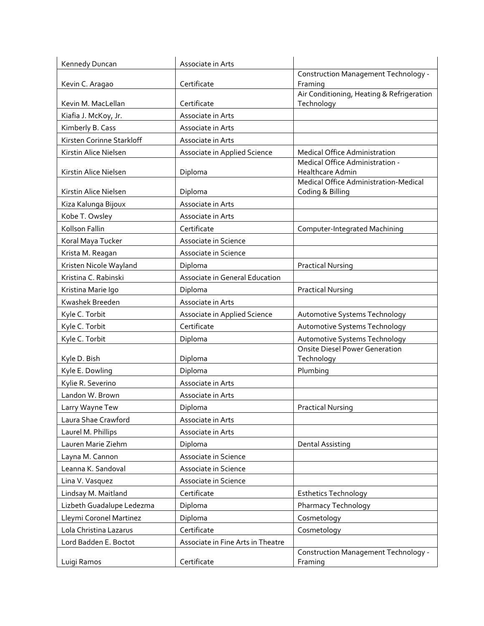| Kennedy Duncan            | Associate in Arts                 |                                                           |
|---------------------------|-----------------------------------|-----------------------------------------------------------|
|                           |                                   | Construction Management Technology -                      |
| Kevin C. Aragao           | Certificate                       | Framing                                                   |
|                           | Certificate                       | Air Conditioning, Heating & Refrigeration                 |
| Kevin M. MacLellan        |                                   | Technology                                                |
| Kiafia J. McKoy, Jr.      | Associate in Arts                 |                                                           |
| Kimberly B. Cass          | Associate in Arts                 |                                                           |
| Kirsten Corinne Starkloff | Associate in Arts                 |                                                           |
| Kirstin Alice Nielsen     | Associate in Applied Science      | Medical Office Administration                             |
| Kirstin Alice Nielsen     | Diploma                           | Medical Office Administration -<br>Healthcare Admin       |
| Kirstin Alice Nielsen     | Diploma                           | Medical Office Administration-Medical<br>Coding & Billing |
| Kiza Kalunga Bijoux       | Associate in Arts                 |                                                           |
| Kobe T. Owsley            | Associate in Arts                 |                                                           |
| Kollson Fallin            | Certificate                       | Computer-Integrated Machining                             |
| Koral Maya Tucker         | Associate in Science              |                                                           |
| Krista M. Reagan          | Associate in Science              |                                                           |
| Kristen Nicole Wayland    | Diploma                           | <b>Practical Nursing</b>                                  |
| Kristina C. Rabinski      | Associate in General Education    |                                                           |
| Kristina Marie Igo        | Diploma                           | <b>Practical Nursing</b>                                  |
| Kwashek Breeden           | Associate in Arts                 |                                                           |
| Kyle C. Torbit            | Associate in Applied Science      | Automotive Systems Technology                             |
| Kyle C. Torbit            | Certificate                       | Automotive Systems Technology                             |
| Kyle C. Torbit            | Diploma                           | Automotive Systems Technology                             |
|                           |                                   | Onsite Diesel Power Generation                            |
| Kyle D. Bish              | Diploma                           | Technology                                                |
| Kyle E. Dowling           | Diploma                           | Plumbing                                                  |
| Kylie R. Severino         | Associate in Arts                 |                                                           |
| Landon W. Brown           | Associate in Arts                 |                                                           |
| Larry Wayne Tew           | Diploma                           | <b>Practical Nursing</b>                                  |
| Laura Shae Crawford       | Associate in Arts                 |                                                           |
| Laurel M. Phillips        | Associate in Arts                 |                                                           |
| Lauren Marie Ziehm        | Diploma                           | <b>Dental Assisting</b>                                   |
| Layna M. Cannon           | Associate in Science              |                                                           |
| Leanna K. Sandoval        | Associate in Science              |                                                           |
| Lina V. Vasquez           | Associate in Science              |                                                           |
| Lindsay M. Maitland       | Certificate                       | <b>Esthetics Technology</b>                               |
| Lizbeth Guadalupe Ledezma | Diploma                           | Pharmacy Technology                                       |
| Lleymi Coronel Martinez   | Diploma                           | Cosmetology                                               |
| Lola Christina Lazarus    | Certificate                       | Cosmetology                                               |
| Lord Badden E. Boctot     | Associate in Fine Arts in Theatre |                                                           |
|                           |                                   | Construction Management Technology -                      |
| Luigi Ramos               | Certificate                       | Framing                                                   |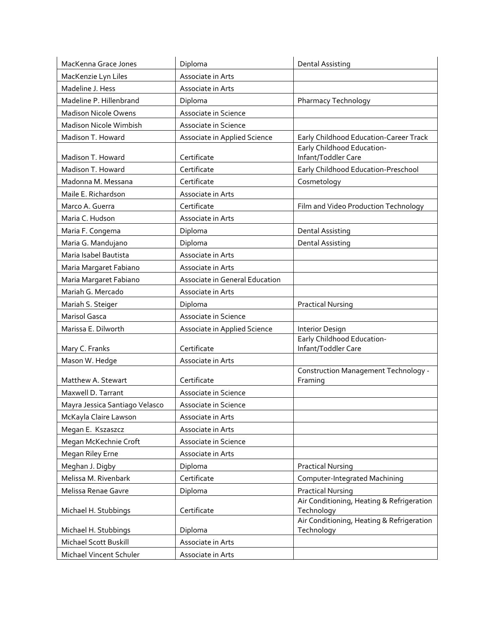| MacKenna Grace Jones           | Diploma                        | <b>Dental Assisting</b>                                 |
|--------------------------------|--------------------------------|---------------------------------------------------------|
| MacKenzie Lyn Liles            | Associate in Arts              |                                                         |
| Madeline J. Hess               | Associate in Arts              |                                                         |
| Madeline P. Hillenbrand        | Diploma                        | Pharmacy Technology                                     |
| <b>Madison Nicole Owens</b>    | Associate in Science           |                                                         |
| Madison Nicole Wimbish         | Associate in Science           |                                                         |
| Madison T. Howard              | Associate in Applied Science   | Early Childhood Education-Career Track                  |
| Madison T. Howard              | Certificate                    | Early Childhood Education-<br>Infant/Toddler Care       |
| Madison T. Howard              | Certificate                    | Early Childhood Education-Preschool                     |
| Madonna M. Messana             | Certificate                    | Cosmetology                                             |
| Maile E. Richardson            | Associate in Arts              |                                                         |
| Marco A. Guerra                | Certificate                    | Film and Video Production Technology                    |
| Maria C. Hudson                | Associate in Arts              |                                                         |
| Maria F. Congema               | Diploma                        | <b>Dental Assisting</b>                                 |
| Maria G. Mandujano             | Diploma                        | <b>Dental Assisting</b>                                 |
| Maria Isabel Bautista          | Associate in Arts              |                                                         |
| Maria Margaret Fabiano         | Associate in Arts              |                                                         |
| Maria Margaret Fabiano         | Associate in General Education |                                                         |
| Mariah G. Mercado              | Associate in Arts              |                                                         |
| Mariah S. Steiger              | Diploma                        | <b>Practical Nursing</b>                                |
| <b>Marisol Gasca</b>           | Associate in Science           |                                                         |
| Marissa E. Dilworth            | Associate in Applied Science   | Interior Design                                         |
| Mary C. Franks                 | Certificate                    | Early Childhood Education-<br>Infant/Toddler Care       |
| Mason W. Hedge                 | Associate in Arts              |                                                         |
| Matthew A. Stewart             | Certificate                    | Construction Management Technology -<br>Framing         |
| Maxwell D. Tarrant             | Associate in Science           |                                                         |
| Mayra Jessica Santiago Velasco | Associate in Science           |                                                         |
| McKayla Claire Lawson          | Associate in Arts              |                                                         |
| Megan E. Kszaszcz              | Associate in Arts              |                                                         |
| Megan McKechnie Croft          | Associate in Science           |                                                         |
| Megan Riley Erne               | Associate in Arts              |                                                         |
| Meghan J. Digby                | Diploma                        | <b>Practical Nursing</b>                                |
| Melissa M. Rivenbark           | Certificate                    | Computer-Integrated Machining                           |
| Melissa Renae Gavre            | Diploma                        | <b>Practical Nursing</b>                                |
| Michael H. Stubbings           | Certificate                    | Air Conditioning, Heating & Refrigeration<br>Technology |
| Michael H. Stubbings           | Diploma                        | Air Conditioning, Heating & Refrigeration<br>Technology |
| Michael Scott Buskill          | Associate in Arts              |                                                         |
| Michael Vincent Schuler        | Associate in Arts              |                                                         |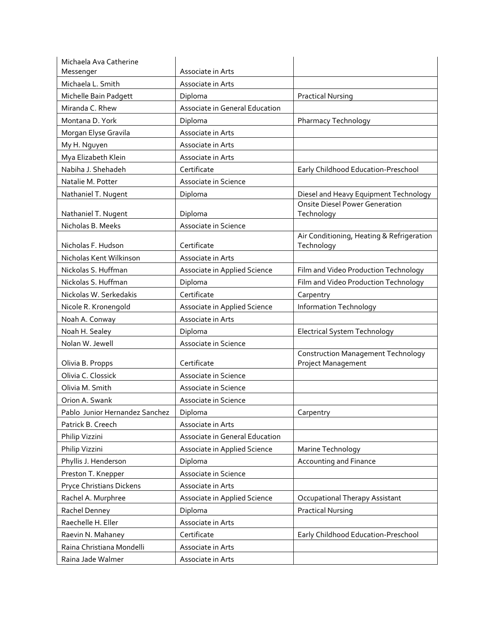| Michaela Ava Catherine         |                                |                                                                 |
|--------------------------------|--------------------------------|-----------------------------------------------------------------|
| Messenger                      | Associate in Arts              |                                                                 |
| Michaela L. Smith              | Associate in Arts              |                                                                 |
| Michelle Bain Padgett          | Diploma                        | <b>Practical Nursing</b>                                        |
| Miranda C. Rhew                | Associate in General Education |                                                                 |
| Montana D. York                | Diploma                        | Pharmacy Technology                                             |
| Morgan Elyse Gravila           | Associate in Arts              |                                                                 |
| My H. Nguyen                   | Associate in Arts              |                                                                 |
| Mya Elizabeth Klein            | Associate in Arts              |                                                                 |
| Nabiha J. Shehadeh             | Certificate                    | Early Childhood Education-Preschool                             |
| Natalie M. Potter              | Associate in Science           |                                                                 |
| Nathaniel T. Nugent            | Diploma                        | Diesel and Heavy Equipment Technology                           |
| Nathaniel T. Nugent            | Diploma                        | Onsite Diesel Power Generation<br>Technology                    |
| Nicholas B. Meeks              | Associate in Science           |                                                                 |
| Nicholas F. Hudson             | Certificate                    | Air Conditioning, Heating & Refrigeration<br>Technology         |
| Nicholas Kent Wilkinson        | Associate in Arts              |                                                                 |
| Nickolas S. Huffman            | Associate in Applied Science   | Film and Video Production Technology                            |
| Nickolas S. Huffman            | Diploma                        | Film and Video Production Technology                            |
| Nickolas W. Serkedakis         | Certificate                    | Carpentry                                                       |
| Nicole R. Kronengold           | Associate in Applied Science   | <b>Information Technology</b>                                   |
| Noah A. Conway                 | Associate in Arts              |                                                                 |
| Noah H. Sealey                 | Diploma                        | Electrical System Technology                                    |
| Nolan W. Jewell                | Associate in Science           |                                                                 |
| Olivia B. Propps               | Certificate                    | <b>Construction Management Technology</b><br>Project Management |
| Olivia C. Clossick             | Associate in Science           |                                                                 |
| Olivia M. Smith                | Associate in Science           |                                                                 |
| Orion A. Swank                 | Associate in Science           |                                                                 |
| Pablo Junior Hernandez Sanchez | Diploma                        | Carpentry                                                       |
| Patrick B. Creech              | Associate in Arts              |                                                                 |
|                                |                                |                                                                 |
| Philip Vizzini                 | Associate in General Education |                                                                 |
| Philip Vizzini                 | Associate in Applied Science   | Marine Technology                                               |
| Phyllis J. Henderson           | Diploma                        | Accounting and Finance                                          |
| Preston T. Knepper             | Associate in Science           |                                                                 |
| Pryce Christians Dickens       | Associate in Arts              |                                                                 |
| Rachel A. Murphree             | Associate in Applied Science   | Occupational Therapy Assistant                                  |
| Rachel Denney                  | Diploma                        | <b>Practical Nursing</b>                                        |
| Raechelle H. Eller             | Associate in Arts              |                                                                 |
| Raevin N. Mahaney              | Certificate                    | Early Childhood Education-Preschool                             |
| Raina Christiana Mondelli      | Associate in Arts              |                                                                 |
| Raina Jade Walmer              | Associate in Arts              |                                                                 |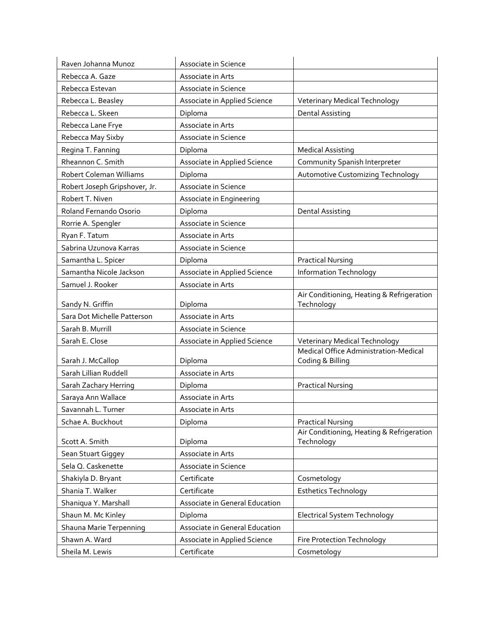| Raven Johanna Munoz           | Associate in Science           |                                                           |
|-------------------------------|--------------------------------|-----------------------------------------------------------|
| Rebecca A. Gaze               | Associate in Arts              |                                                           |
| Rebecca Estevan               | Associate in Science           |                                                           |
| Rebecca L. Beasley            | Associate in Applied Science   | Veterinary Medical Technology                             |
| Rebecca L. Skeen              | Diploma                        | <b>Dental Assisting</b>                                   |
| Rebecca Lane Frye             | Associate in Arts              |                                                           |
| Rebecca May Sixby             | Associate in Science           |                                                           |
| Regina T. Fanning             | Diploma                        | <b>Medical Assisting</b>                                  |
| Rheannon C. Smith             | Associate in Applied Science   | Community Spanish Interpreter                             |
| Robert Coleman Williams       | Diploma                        | <b>Automotive Customizing Technology</b>                  |
| Robert Joseph Gripshover, Jr. | Associate in Science           |                                                           |
| Robert T. Niven               | Associate in Engineering       |                                                           |
| Roland Fernando Osorio        | Diploma                        | <b>Dental Assisting</b>                                   |
| Rorrie A. Spengler            | Associate in Science           |                                                           |
| Ryan F. Tatum                 | Associate in Arts              |                                                           |
| Sabrina Uzunova Karras        | Associate in Science           |                                                           |
| Samantha L. Spicer            | Diploma                        | <b>Practical Nursing</b>                                  |
| Samantha Nicole Jackson       | Associate in Applied Science   | Information Technology                                    |
| Samuel J. Rooker              | Associate in Arts              |                                                           |
| Sandy N. Griffin              | Diploma                        | Air Conditioning, Heating & Refrigeration<br>Technology   |
| Sara Dot Michelle Patterson   | Associate in Arts              |                                                           |
| Sarah B. Murrill              | Associate in Science           |                                                           |
| Sarah E. Close                | Associate in Applied Science   | <b>Veterinary Medical Technology</b>                      |
| Sarah J. McCallop             | Diploma                        | Medical Office Administration-Medical<br>Coding & Billing |
| Sarah Lillian Ruddell         | Associate in Arts              |                                                           |
| Sarah Zachary Herring         | Diploma                        | <b>Practical Nursing</b>                                  |
| Saraya Ann Wallace            | Associate in Arts              |                                                           |
| Savannah L. Turner            | Associate in Arts              |                                                           |
| Schae A. Buckhout             | Diploma                        | <b>Practical Nursing</b>                                  |
| Scott A. Smith                | Diploma                        | Air Conditioning, Heating & Refrigeration<br>Technology   |
| Sean Stuart Giggey            | Associate in Arts              |                                                           |
| Sela Q. Caskenette            | Associate in Science           |                                                           |
| Shakiyla D. Bryant            | Certificate                    | Cosmetology                                               |
| Shania T. Walker              | Certificate                    | <b>Esthetics Technology</b>                               |
| Shaniqua Y. Marshall          | Associate in General Education |                                                           |
| Shaun M. Mc Kinley            | Diploma                        | <b>Electrical System Technology</b>                       |
| Shauna Marie Terpenning       | Associate in General Education |                                                           |
| Shawn A. Ward                 | Associate in Applied Science   | Fire Protection Technology                                |
| Sheila M. Lewis               | Certificate                    | Cosmetology                                               |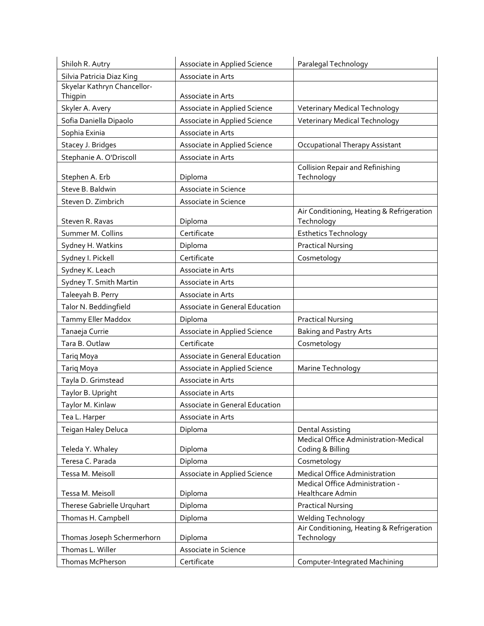| Shiloh R. Autry             | Associate in Applied Science   | Paralegal Technology                                    |
|-----------------------------|--------------------------------|---------------------------------------------------------|
| Silvia Patricia Diaz King   | Associate in Arts              |                                                         |
| Skyelar Kathryn Chancellor- |                                |                                                         |
| Thigpin                     | Associate in Arts              |                                                         |
| Skyler A. Avery             | Associate in Applied Science   | <b>Veterinary Medical Technology</b>                    |
| Sofia Daniella Dipaolo      | Associate in Applied Science   | <b>Veterinary Medical Technology</b>                    |
| Sophia Exinia               | Associate in Arts              |                                                         |
| Stacey J. Bridges           | Associate in Applied Science   | Occupational Therapy Assistant                          |
| Stephanie A. O'Driscoll     | Associate in Arts              |                                                         |
|                             |                                | <b>Collision Repair and Refinishing</b>                 |
| Stephen A. Erb              | Diploma                        | Technology                                              |
| Steve B. Baldwin            | Associate in Science           |                                                         |
| Steven D. Zimbrich          | Associate in Science           |                                                         |
| Steven R. Ravas             | Diploma                        | Air Conditioning, Heating & Refrigeration<br>Technology |
| Summer M. Collins           | Certificate                    | <b>Esthetics Technology</b>                             |
| Sydney H. Watkins           | Diploma                        | <b>Practical Nursing</b>                                |
| Sydney I. Pickell           | Certificate                    | Cosmetology                                             |
| Sydney K. Leach             | Associate in Arts              |                                                         |
| Sydney T. Smith Martin      | Associate in Arts              |                                                         |
| Taleeyah B. Perry           | Associate in Arts              |                                                         |
| Talor N. Beddingfield       | Associate in General Education |                                                         |
|                             |                                |                                                         |
| Tammy Eller Maddox          | Diploma                        | <b>Practical Nursing</b>                                |
| Tanaeja Currie              | Associate in Applied Science   | <b>Baking and Pastry Arts</b>                           |
| Tara B. Outlaw              | Certificate                    | Cosmetology                                             |
| Tariq Moya                  | Associate in General Education |                                                         |
| Tariq Moya                  | Associate in Applied Science   | Marine Technology                                       |
| Tayla D. Grimstead          | Associate in Arts              |                                                         |
| Taylor B. Upright           | Associate in Arts              |                                                         |
| Taylor M. Kinlaw            | Associate in General Education |                                                         |
| Tea L. Harper               | Associate in Arts              |                                                         |
| Teigan Haley Deluca         | Diploma                        | <b>Dental Assisting</b>                                 |
|                             |                                | Medical Office Administration-Medical                   |
| Teleda Y. Whaley            | Diploma                        | Coding & Billing                                        |
| Teresa C. Parada            | Diploma                        | Cosmetology                                             |
| Tessa M. Meisoll            | Associate in Applied Science   | Medical Office Administration                           |
| Tessa M. Meisoll            | Diploma                        | Medical Office Administration -<br>Healthcare Admin     |
| Therese Gabrielle Urquhart  | Diploma                        | <b>Practical Nursing</b>                                |
| Thomas H. Campbell          | Diploma                        | Welding Technology                                      |
|                             |                                | Air Conditioning, Heating & Refrigeration               |
| Thomas Joseph Schermerhorn  | Diploma                        | Technology                                              |
| Thomas L. Willer            | Associate in Science           |                                                         |